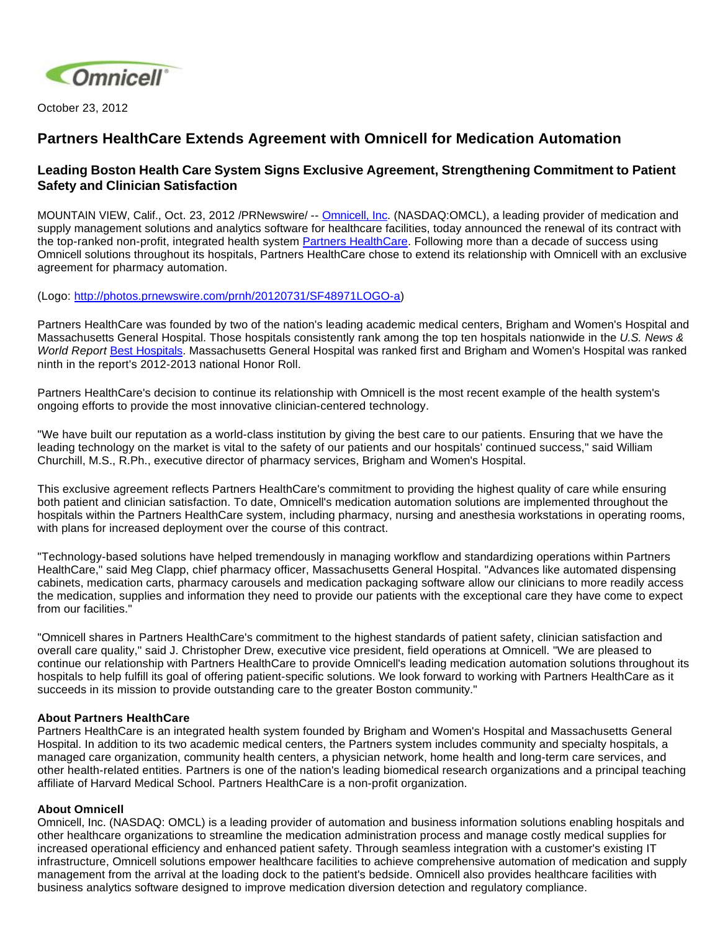

October 23, 2012

## **Partners HealthCare Extends Agreement with Omnicell for Medication Automation**

## **Leading Boston Health Care System Signs Exclusive Agreement, Strengthening Commitment to Patient Safety and Clinician Satisfaction**

MOUNTAIN VIEW, Calif., Oct. 23, 2012 /PRNewswire/ -- [Omnicell, Inc.](http://www.omnicell.com/) (NASDAQ:OMCL), a leading provider of medication and supply management solutions and analytics software for healthcare facilities, today announced the renewal of its contract with the top-ranked non-profit, integrated health system [Partners HealthCare.](http://www.partners.org/) Following more than a decade of success using Omnicell solutions throughout its hospitals, Partners HealthCare chose to extend its relationship with Omnicell with an exclusive agreement for pharmacy automation.

(Logo: [http://photos.prnewswire.com/prnh/20120731/SF48971LOGO-a\)](http://photos.prnewswire.com/prnh/20120731/SF48971LOGO-a)

Partners HealthCare was founded by two of the nation's leading academic medical centers, Brigham and Women's Hospital and Massachusetts General Hospital. Those hospitals consistently rank among the top ten hospitals nationwide in the U.S. News & World Report [Best Hospitals](http://health.usnews.com/best-hospitals/rankings). Massachusetts General Hospital was ranked first and Brigham and Women's Hospital was ranked ninth in the report's 2012-2013 national Honor Roll.

Partners HealthCare's decision to continue its relationship with Omnicell is the most recent example of the health system's ongoing efforts to provide the most innovative clinician-centered technology.

"We have built our reputation as a world-class institution by giving the best care to our patients. Ensuring that we have the leading technology on the market is vital to the safety of our patients and our hospitals' continued success," said William Churchill, M.S., R.Ph., executive director of pharmacy services, Brigham and Women's Hospital.

This exclusive agreement reflects Partners HealthCare's commitment to providing the highest quality of care while ensuring both patient and clinician satisfaction. To date, Omnicell's medication automation solutions are implemented throughout the hospitals within the Partners HealthCare system, including pharmacy, nursing and anesthesia workstations in operating rooms, with plans for increased deployment over the course of this contract.

"Technology-based solutions have helped tremendously in managing workflow and standardizing operations within Partners HealthCare," said Meg Clapp, chief pharmacy officer, Massachusetts General Hospital. "Advances like automated dispensing cabinets, medication carts, pharmacy carousels and medication packaging software allow our clinicians to more readily access the medication, supplies and information they need to provide our patients with the exceptional care they have come to expect from our facilities."

"Omnicell shares in Partners HealthCare's commitment to the highest standards of patient safety, clinician satisfaction and overall care quality," said J. Christopher Drew, executive vice president, field operations at Omnicell. "We are pleased to continue our relationship with Partners HealthCare to provide Omnicell's leading medication automation solutions throughout its hospitals to help fulfill its goal of offering patient-specific solutions. We look forward to working with Partners HealthCare as it succeeds in its mission to provide outstanding care to the greater Boston community."

## **About Partners HealthCare**

Partners HealthCare is an integrated health system founded by Brigham and Women's Hospital and Massachusetts General Hospital. In addition to its two academic medical centers, the Partners system includes community and specialty hospitals, a managed care organization, community health centers, a physician network, home health and long-term care services, and other health-related entities. Partners is one of the nation's leading biomedical research organizations and a principal teaching affiliate of Harvard Medical School. Partners HealthCare is a non-profit organization.

## **About Omnicell**

Omnicell, Inc. (NASDAQ: OMCL) is a leading provider of automation and business information solutions enabling hospitals and other healthcare organizations to streamline the medication administration process and manage costly medical supplies for increased operational efficiency and enhanced patient safety. Through seamless integration with a customer's existing IT infrastructure, Omnicell solutions empower healthcare facilities to achieve comprehensive automation of medication and supply management from the arrival at the loading dock to the patient's bedside. Omnicell also provides healthcare facilities with business analytics software designed to improve medication diversion detection and regulatory compliance.